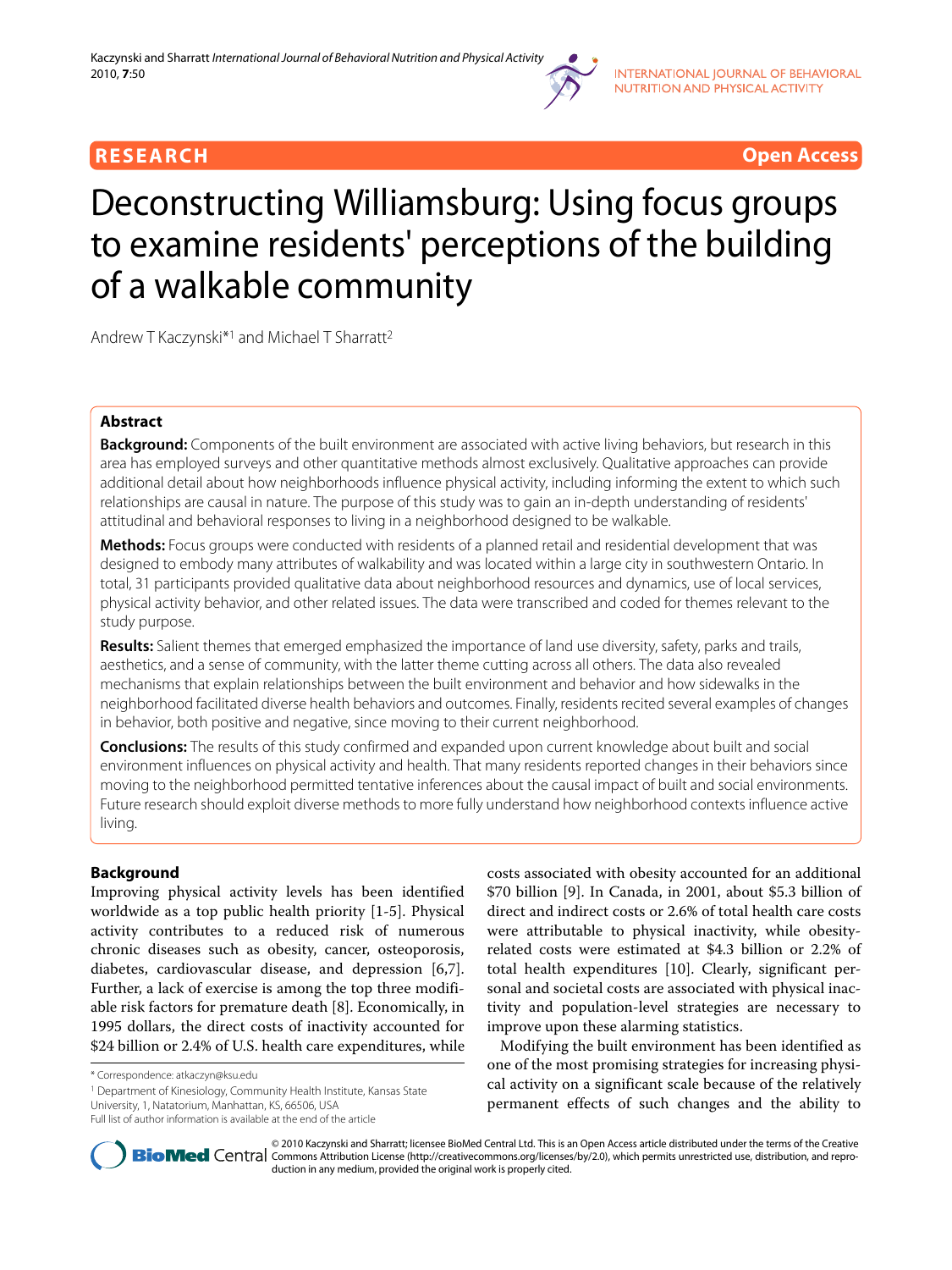

# **RESEARCH Open Access**

# Deconstructing Williamsburg: Using focus groups to examine residents' perceptions of the building of a walkable community

Andrew T Kaczynski\*1 and Michael T Sharratt2

# **Abstract**

**Background:** Components of the built environment are associated with active living behaviors, but research in this area has employed surveys and other quantitative methods almost exclusively. Qualitative approaches can provide additional detail about how neighborhoods influence physical activity, including informing the extent to which such relationships are causal in nature. The purpose of this study was to gain an in-depth understanding of residents' attitudinal and behavioral responses to living in a neighborhood designed to be walkable.

**Methods:** Focus groups were conducted with residents of a planned retail and residential development that was designed to embody many attributes of walkability and was located within a large city in southwestern Ontario. In total, 31 participants provided qualitative data about neighborhood resources and dynamics, use of local services, physical activity behavior, and other related issues. The data were transcribed and coded for themes relevant to the study purpose.

**Results:** Salient themes that emerged emphasized the importance of land use diversity, safety, parks and trails, aesthetics, and a sense of community, with the latter theme cutting across all others. The data also revealed mechanisms that explain relationships between the built environment and behavior and how sidewalks in the neighborhood facilitated diverse health behaviors and outcomes. Finally, residents recited several examples of changes in behavior, both positive and negative, since moving to their current neighborhood.

**Conclusions:** The results of this study confirmed and expanded upon current knowledge about built and social environment influences on physical activity and health. That many residents reported changes in their behaviors since moving to the neighborhood permitted tentative inferences about the causal impact of built and social environments. Future research should exploit diverse methods to more fully understand how neighborhood contexts influence active living.

# **Background**

Improving physical activity levels has been identified worldwide as a top public health priority [[1-](#page-9-0)[5](#page-9-1)]. Physical activity contributes to a reduced risk of numerous chronic diseases such as obesity, cancer, osteoporosis, diabetes, cardiovascular disease, and depression [[6](#page-9-2)[,7](#page-9-3)]. Further, a lack of exercise is among the top three modifiable risk factors for premature death [[8\]](#page-9-4). Economically, in 1995 dollars, the direct costs of inactivity accounted for \$24 billion or 2.4% of U.S. health care expenditures, while

<sup>1</sup> Department of Kinesiology, Community Health Institute, Kansas State University, 1, Natatorium, Manhattan, KS, 66506, USA

costs associated with obesity accounted for an additional \$70 billion [\[9](#page-9-5)]. In Canada, in 2001, about \$5.3 billion of direct and indirect costs or 2.6% of total health care costs were attributable to physical inactivity, while obesityrelated costs were estimated at \$4.3 billion or 2.2% of total health expenditures [\[10\]](#page-10-0). Clearly, significant personal and societal costs are associated with physical inactivity and population-level strategies are necessary to improve upon these alarming statistics.

Modifying the built environment has been identified as one of the most promising strategies for increasing physical activity on a significant scale because of the relatively permanent effects of such changes and the ability to



© 2010 Kaczynski and Sharratt; licensee BioMed Central Ltd. This is an Open Access article distributed under the terms of the Creative **Bio Med** Central Commons Attribution License (http://creativecommons.org/licenses/by/2.0), which permits unrestricted use, distribution, and reproduction in any medium, provided the original work is properly cited.

<sup>\*</sup> Correspondence: atkaczyn@ksu.edu

Full list of author information is available at the end of the article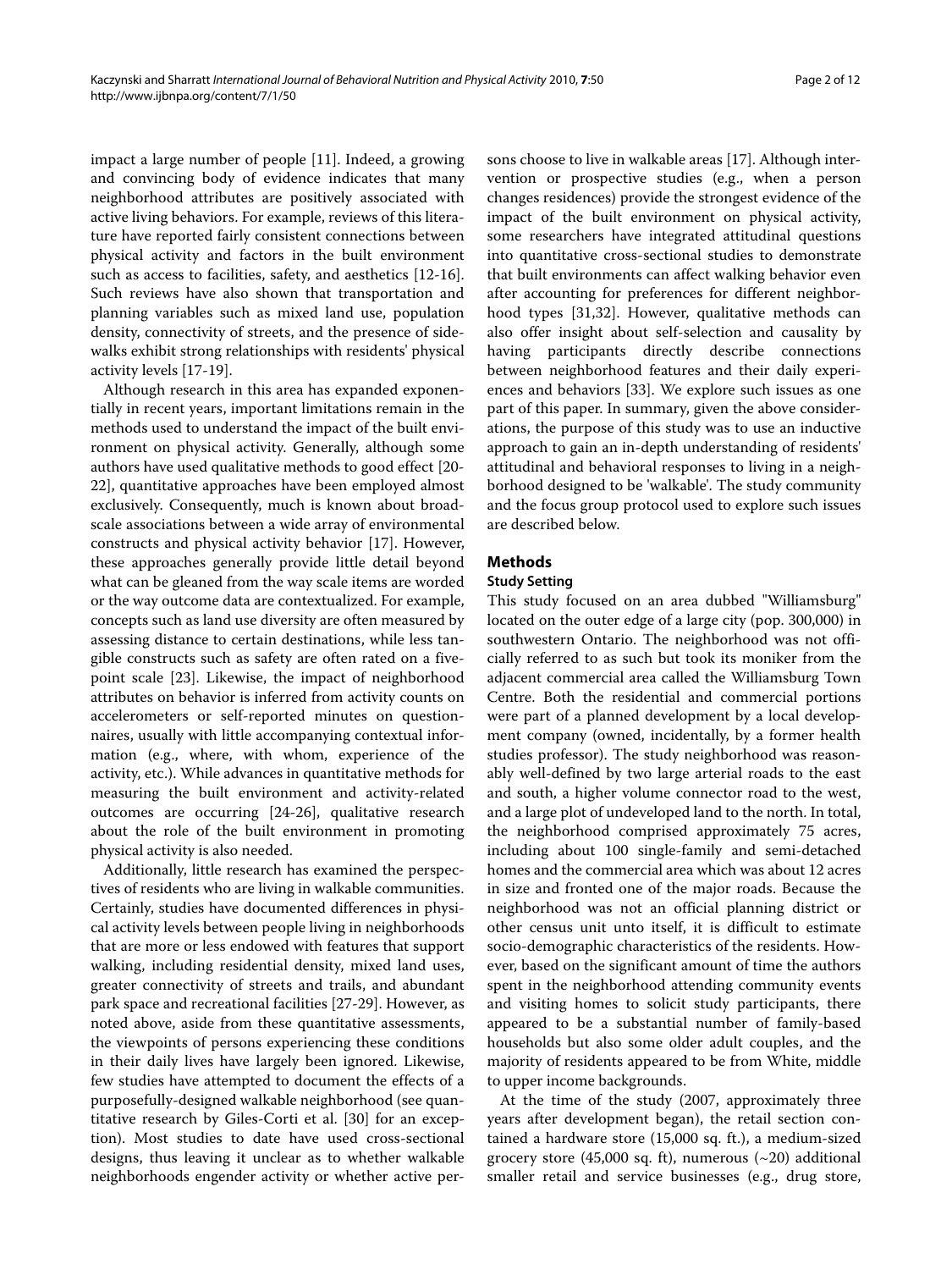impact a large number of people [[11\]](#page-10-1). Indeed, a growing and convincing body of evidence indicates that many neighborhood attributes are positively associated with active living behaviors. For example, reviews of this literature have reported fairly consistent connections between physical activity and factors in the built environment such as access to facilities, safety, and aesthetics [[12-](#page-10-2)[16](#page-10-3)]. Such reviews have also shown that transportation and planning variables such as mixed land use, population density, connectivity of streets, and the presence of sidewalks exhibit strong relationships with residents' physical activity levels [[17-](#page-10-4)[19](#page-10-5)].

Although research in this area has expanded exponentially in recent years, important limitations remain in the methods used to understand the impact of the built environment on physical activity. Generally, although some authors have used qualitative methods to good effect [\[20-](#page-10-6) [22](#page-10-7)], quantitative approaches have been employed almost exclusively. Consequently, much is known about broadscale associations between a wide array of environmental constructs and physical activity behavior [\[17](#page-10-4)]. However, these approaches generally provide little detail beyond what can be gleaned from the way scale items are worded or the way outcome data are contextualized. For example, concepts such as land use diversity are often measured by assessing distance to certain destinations, while less tangible constructs such as safety are often rated on a fivepoint scale [[23](#page-10-8)]. Likewise, the impact of neighborhood attributes on behavior is inferred from activity counts on accelerometers or self-reported minutes on questionnaires, usually with little accompanying contextual information (e.g., where, with whom, experience of the activity, etc.). While advances in quantitative methods for measuring the built environment and activity-related outcomes are occurring [[24](#page-10-9)-[26\]](#page-10-10), qualitative research about the role of the built environment in promoting physical activity is also needed.

Additionally, little research has examined the perspectives of residents who are living in walkable communities. Certainly, studies have documented differences in physical activity levels between people living in neighborhoods that are more or less endowed with features that support walking, including residential density, mixed land uses, greater connectivity of streets and trails, and abundant park space and recreational facilities [\[27](#page-10-11)-[29\]](#page-10-12). However, as noted above, aside from these quantitative assessments, the viewpoints of persons experiencing these conditions in their daily lives have largely been ignored. Likewise, few studies have attempted to document the effects of a purposefully-designed walkable neighborhood (see quantitative research by Giles-Corti et al. [\[30\]](#page-10-13) for an exception). Most studies to date have used cross-sectional designs, thus leaving it unclear as to whether walkable neighborhoods engender activity or whether active per-

sons choose to live in walkable areas [[17](#page-10-4)]. Although intervention or prospective studies (e.g., when a person changes residences) provide the strongest evidence of the impact of the built environment on physical activity, some researchers have integrated attitudinal questions into quantitative cross-sectional studies to demonstrate that built environments can affect walking behavior even after accounting for preferences for different neighborhood types [\[31](#page-10-14)[,32](#page-10-15)]. However, qualitative methods can also offer insight about self-selection and causality by having participants directly describe connections between neighborhood features and their daily experiences and behaviors [\[33](#page-10-16)]. We explore such issues as one part of this paper. In summary, given the above considerations, the purpose of this study was to use an inductive approach to gain an in-depth understanding of residents' attitudinal and behavioral responses to living in a neighborhood designed to be 'walkable'. The study community and the focus group protocol used to explore such issues are described below.

# **Methods**

#### **Study Setting**

This study focused on an area dubbed "Williamsburg" located on the outer edge of a large city (pop. 300,000) in southwestern Ontario. The neighborhood was not officially referred to as such but took its moniker from the adjacent commercial area called the Williamsburg Town Centre. Both the residential and commercial portions were part of a planned development by a local development company (owned, incidentally, by a former health studies professor). The study neighborhood was reasonably well-defined by two large arterial roads to the east and south, a higher volume connector road to the west, and a large plot of undeveloped land to the north. In total, the neighborhood comprised approximately 75 acres, including about 100 single-family and semi-detached homes and the commercial area which was about 12 acres in size and fronted one of the major roads. Because the neighborhood was not an official planning district or other census unit unto itself, it is difficult to estimate socio-demographic characteristics of the residents. However, based on the significant amount of time the authors spent in the neighborhood attending community events and visiting homes to solicit study participants, there appeared to be a substantial number of family-based households but also some older adult couples, and the majority of residents appeared to be from White, middle to upper income backgrounds.

At the time of the study (2007, approximately three years after development began), the retail section contained a hardware store (15,000 sq. ft.), a medium-sized grocery store (45,000 sq. ft), numerous  $(\sim 20)$  additional smaller retail and service businesses (e.g., drug store,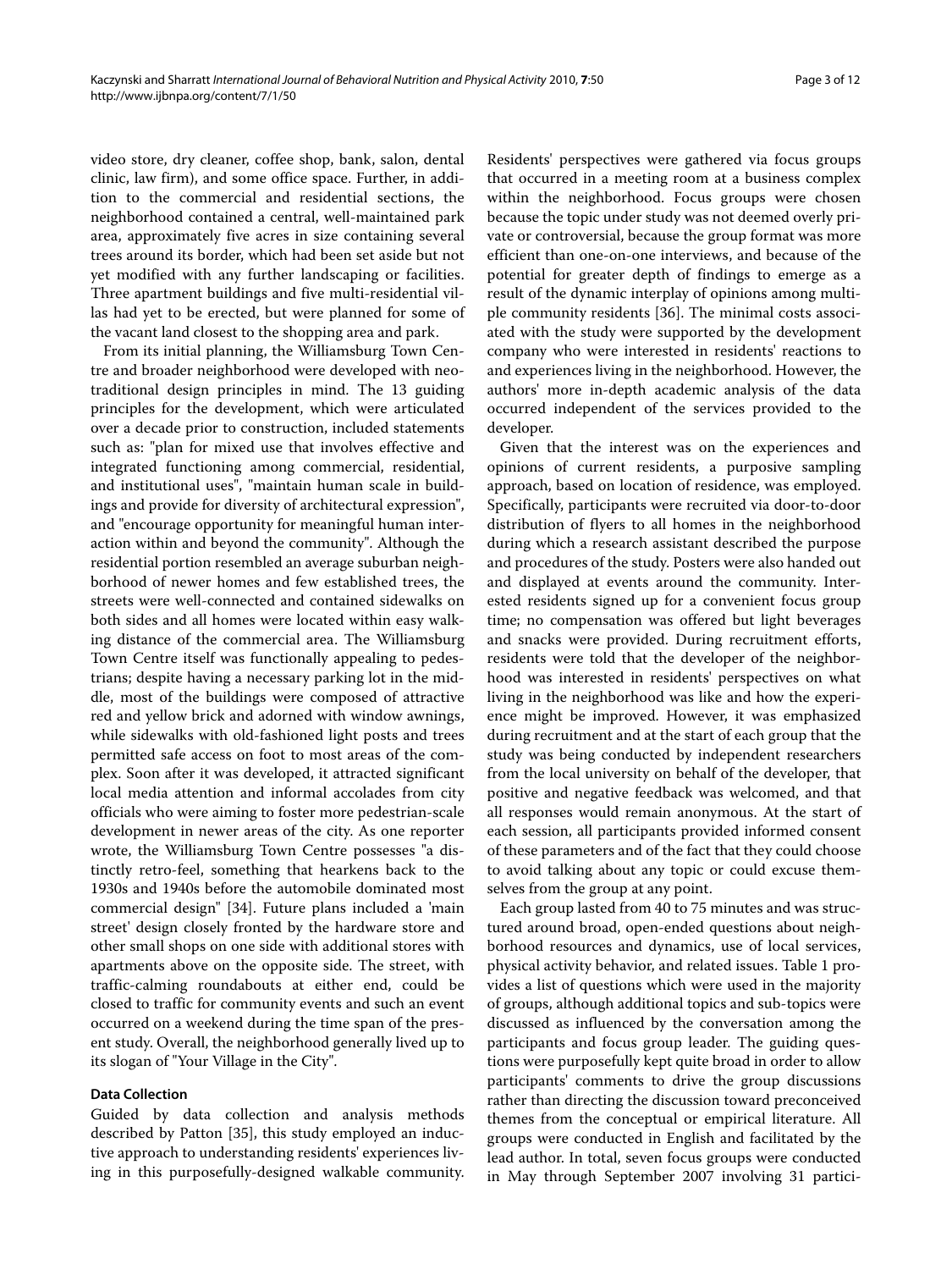video store, dry cleaner, coffee shop, bank, salon, dental clinic, law firm), and some office space. Further, in addition to the commercial and residential sections, the neighborhood contained a central, well-maintained park area, approximately five acres in size containing several trees around its border, which had been set aside but not yet modified with any further landscaping or facilities. Three apartment buildings and five multi-residential villas had yet to be erected, but were planned for some of the vacant land closest to the shopping area and park.

From its initial planning, the Williamsburg Town Centre and broader neighborhood were developed with neotraditional design principles in mind. The 13 guiding principles for the development, which were articulated over a decade prior to construction, included statements such as: "plan for mixed use that involves effective and integrated functioning among commercial, residential, and institutional uses", "maintain human scale in buildings and provide for diversity of architectural expression", and "encourage opportunity for meaningful human interaction within and beyond the community". Although the residential portion resembled an average suburban neighborhood of newer homes and few established trees, the streets were well-connected and contained sidewalks on both sides and all homes were located within easy walking distance of the commercial area. The Williamsburg Town Centre itself was functionally appealing to pedestrians; despite having a necessary parking lot in the middle, most of the buildings were composed of attractive red and yellow brick and adorned with window awnings, while sidewalks with old-fashioned light posts and trees permitted safe access on foot to most areas of the complex. Soon after it was developed, it attracted significant local media attention and informal accolades from city officials who were aiming to foster more pedestrian-scale development in newer areas of the city. As one reporter wrote, the Williamsburg Town Centre possesses "a distinctly retro-feel, something that hearkens back to the 1930s and 1940s before the automobile dominated most commercial design" [\[34\]](#page-10-17). Future plans included a 'main street' design closely fronted by the hardware store and other small shops on one side with additional stores with apartments above on the opposite side. The street, with traffic-calming roundabouts at either end, could be closed to traffic for community events and such an event occurred on a weekend during the time span of the present study. Overall, the neighborhood generally lived up to its slogan of "Your Village in the City".

#### **Data Collection**

Guided by data collection and analysis methods described by Patton [[35\]](#page-10-18), this study employed an inductive approach to understanding residents' experiences living in this purposefully-designed walkable community.

Residents' perspectives were gathered via focus groups that occurred in a meeting room at a business complex within the neighborhood. Focus groups were chosen because the topic under study was not deemed overly private or controversial, because the group format was more efficient than one-on-one interviews, and because of the potential for greater depth of findings to emerge as a result of the dynamic interplay of opinions among multiple community residents [[36\]](#page-10-19). The minimal costs associated with the study were supported by the development company who were interested in residents' reactions to and experiences living in the neighborhood. However, the authors' more in-depth academic analysis of the data occurred independent of the services provided to the developer.

Given that the interest was on the experiences and opinions of current residents, a purposive sampling approach, based on location of residence, was employed. Specifically, participants were recruited via door-to-door distribution of flyers to all homes in the neighborhood during which a research assistant described the purpose and procedures of the study. Posters were also handed out and displayed at events around the community. Interested residents signed up for a convenient focus group time; no compensation was offered but light beverages and snacks were provided. During recruitment efforts, residents were told that the developer of the neighborhood was interested in residents' perspectives on what living in the neighborhood was like and how the experience might be improved. However, it was emphasized during recruitment and at the start of each group that the study was being conducted by independent researchers from the local university on behalf of the developer, that positive and negative feedback was welcomed, and that all responses would remain anonymous. At the start of each session, all participants provided informed consent of these parameters and of the fact that they could choose to avoid talking about any topic or could excuse themselves from the group at any point.

Each group lasted from 40 to 75 minutes and was structured around broad, open-ended questions about neighborhood resources and dynamics, use of local services, physical activity behavior, and related issues. Table 1 provides a list of questions which were used in the majority of groups, although additional topics and sub-topics were discussed as influenced by the conversation among the participants and focus group leader. The guiding questions were purposefully kept quite broad in order to allow participants' comments to drive the group discussions rather than directing the discussion toward preconceived themes from the conceptual or empirical literature. All groups were conducted in English and facilitated by the lead author. In total, seven focus groups were conducted in May through September 2007 involving 31 partici-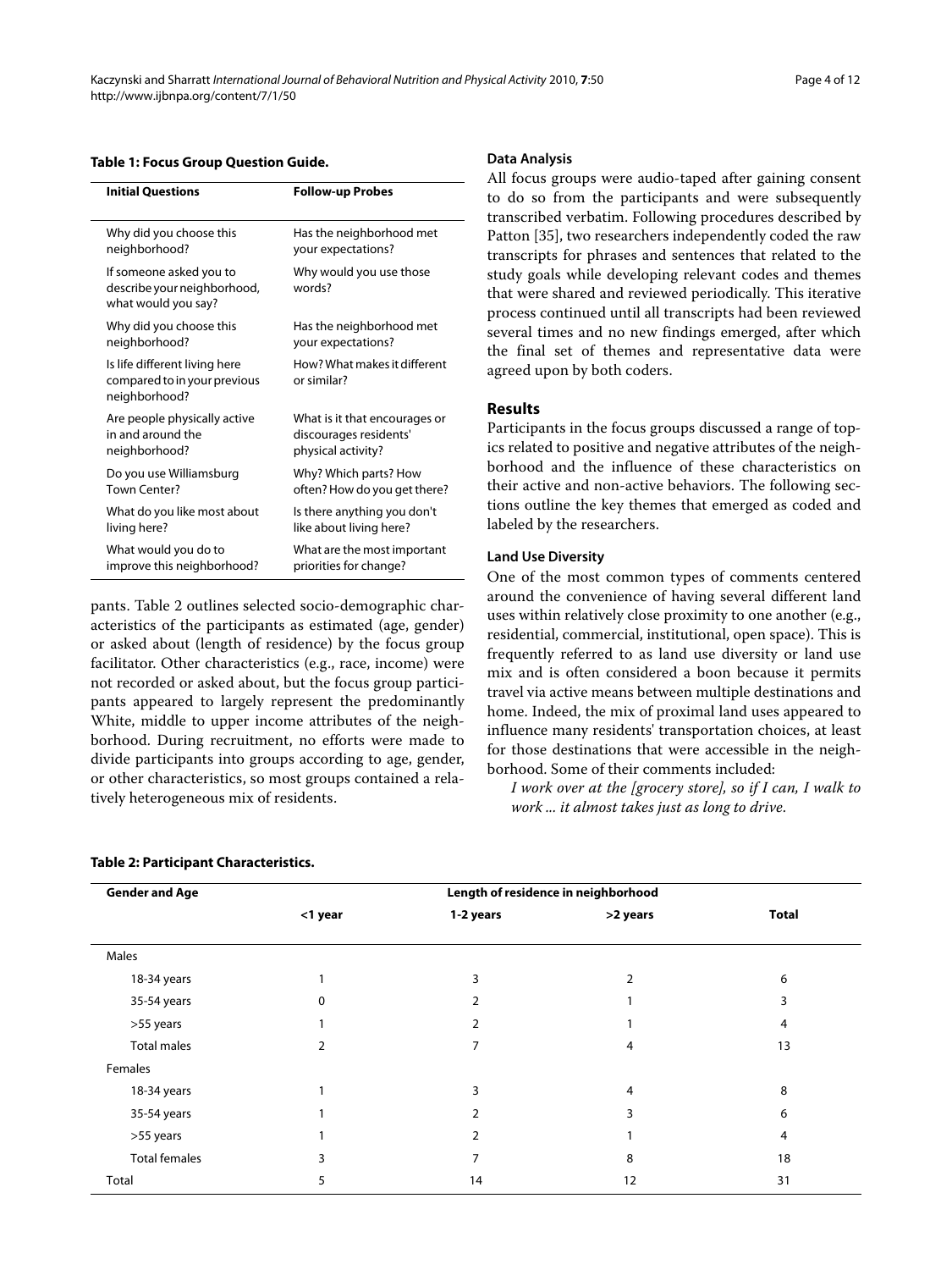#### **Table 1: Focus Group Question Guide.**

| <b>Initial Questions</b>                                                       | <b>Follow-up Probes</b>                     |  |
|--------------------------------------------------------------------------------|---------------------------------------------|--|
| Why did you choose this                                                        | Has the neighborhood met                    |  |
| neighborhood?                                                                  | your expectations?                          |  |
| If someone asked you to<br>describe your neighborhood,<br>what would you say?  | Why would you use those<br>words?           |  |
| Why did you choose this                                                        | Has the neighborhood met                    |  |
| neighborhood?                                                                  | your expectations?                          |  |
| Is life different living here<br>compared to in your previous<br>neighborhood? | How? What makes it different<br>or similar? |  |
| Are people physically active                                                   | What is it that encourages or               |  |
| in and around the                                                              | discourages residents'                      |  |
| neighborhood?                                                                  | physical activity?                          |  |
| Do you use Williamsburg                                                        | Why? Which parts? How                       |  |
| Town Center?                                                                   | often? How do you get there?                |  |
| What do you like most about                                                    | Is there anything you don't                 |  |
| living here?                                                                   | like about living here?                     |  |
| What would you do to                                                           | What are the most important                 |  |
| improve this neighborhood?                                                     | priorities for change?                      |  |

pants. Table 2 outlines selected socio-demographic characteristics of the participants as estimated (age, gender) or asked about (length of residence) by the focus group facilitator. Other characteristics (e.g., race, income) were not recorded or asked about, but the focus group participants appeared to largely represent the predominantly White, middle to upper income attributes of the neighborhood. During recruitment, no efforts were made to divide participants into groups according to age, gender, or other characteristics, so most groups contained a relatively heterogeneous mix of residents.

#### **Data Analysis**

All focus groups were audio-taped after gaining consent to do so from the participants and were subsequently transcribed verbatim. Following procedures described by Patton [[35\]](#page-10-18), two researchers independently coded the raw transcripts for phrases and sentences that related to the study goals while developing relevant codes and themes that were shared and reviewed periodically. This iterative process continued until all transcripts had been reviewed several times and no new findings emerged, after which the final set of themes and representative data were agreed upon by both coders.

## **Results**

Participants in the focus groups discussed a range of topics related to positive and negative attributes of the neighborhood and the influence of these characteristics on their active and non-active behaviors. The following sections outline the key themes that emerged as coded and labeled by the researchers.

#### **Land Use Diversity**

One of the most common types of comments centered around the convenience of having several different land uses within relatively close proximity to one another (e.g., residential, commercial, institutional, open space). This is frequently referred to as land use diversity or land use mix and is often considered a boon because it permits travel via active means between multiple destinations and home. Indeed, the mix of proximal land uses appeared to influence many residents' transportation choices, at least for those destinations that were accessible in the neighborhood. Some of their comments included:

*I work over at the [grocery store], so if I can, I walk to work ... it almost takes just as long to drive*.

| <b>Gender and Age</b> | Length of residence in neighborhood |           |          |              |
|-----------------------|-------------------------------------|-----------|----------|--------------|
|                       | <1 year                             | 1-2 years | >2 years | <b>Total</b> |
| Males                 |                                     |           |          |              |
| 18-34 years           |                                     | 3         | 2        | 6            |
| 35-54 years           | 0                                   | 2         |          | 3            |
| >55 years             |                                     | 2         |          | 4            |
| <b>Total males</b>    | 2                                   | 7         | 4        | 13           |
| Females               |                                     |           |          |              |
| 18-34 years           |                                     | 3         | 4        | 8            |
| 35-54 years           |                                     | 2         | 3        | 6            |
| >55 years             |                                     | 2         |          | 4            |
| <b>Total females</b>  | 3                                   |           | 8        | 18           |
| Total                 | 5                                   | 14        | 12       | 31           |

#### **Table 2: Participant Characteristics.**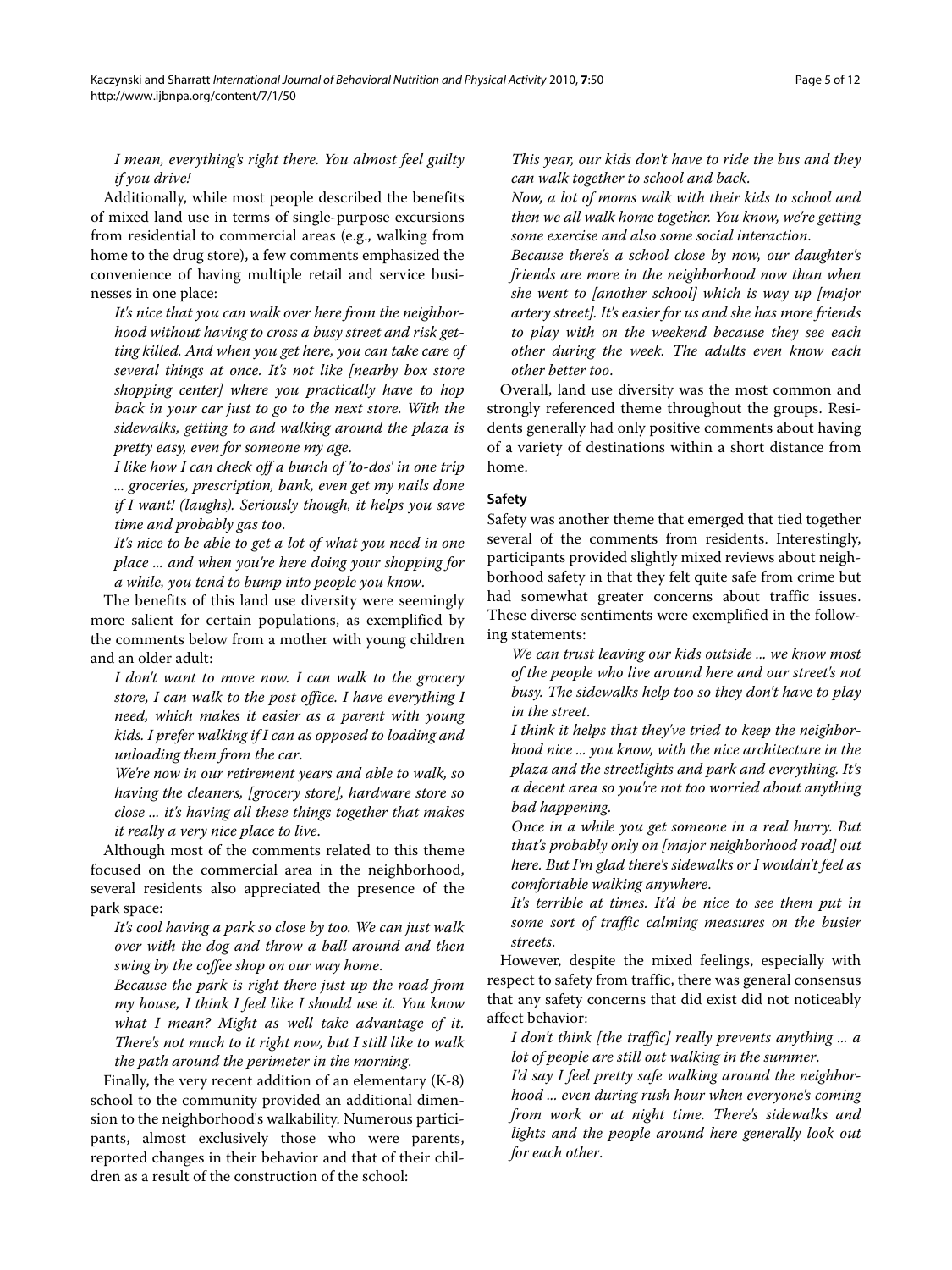# *I mean, everything's right there. You almost feel guilty if you drive!*

Additionally, while most people described the benefits of mixed land use in terms of single-purpose excursions from residential to commercial areas (e.g., walking from home to the drug store), a few comments emphasized the convenience of having multiple retail and service businesses in one place:

*It's nice that you can walk over here from the neighborhood without having to cross a busy street and risk getting killed. And when you get here, you can take care of several things at once. It's not like [nearby box store shopping center] where you practically have to hop back in your car just to go to the next store. With the sidewalks, getting to and walking around the plaza is pretty easy, even for someone my age*.

*I like how I can check off a bunch of 'to-dos' in one trip ... groceries, prescription, bank, even get my nails done if I want! (laughs). Seriously though, it helps you save time and probably gas too*.

*It's nice to be able to get a lot of what you need in one place ... and when you're here doing your shopping for a while, you tend to bump into people you know*.

The benefits of this land use diversity were seemingly more salient for certain populations, as exemplified by the comments below from a mother with young children and an older adult:

*I don't want to move now. I can walk to the grocery store, I can walk to the post office. I have everything I need, which makes it easier as a parent with young kids. I prefer walking if I can as opposed to loading and unloading them from the car*.

*We're now in our retirement years and able to walk, so having the cleaners, [grocery store], hardware store so close ... it's having all these things together that makes it really a very nice place to live*.

Although most of the comments related to this theme focused on the commercial area in the neighborhood, several residents also appreciated the presence of the park space:

*It's cool having a park so close by too. We can just walk over with the dog and throw a ball around and then swing by the coffee shop on our way home*.

*Because the park is right there just up the road from my house, I think I feel like I should use it. You know what I mean? Might as well take advantage of it. There's not much to it right now, but I still like to walk the path around the perimeter in the morning*.

Finally, the very recent addition of an elementary (K-8) school to the community provided an additional dimension to the neighborhood's walkability. Numerous participants, almost exclusively those who were parents, reported changes in their behavior and that of their children as a result of the construction of the school:

*This year, our kids don't have to ride the bus and they can walk together to school and back*.

*Now, a lot of moms walk with their kids to school and then we all walk home together. You know, we're getting some exercise and also some social interaction*.

*Because there's a school close by now, our daughter's friends are more in the neighborhood now than when she went to [another school] which is way up [major artery street]. It's easier for us and she has more friends to play with on the weekend because they see each other during the week. The adults even know each other better too*.

Overall, land use diversity was the most common and strongly referenced theme throughout the groups. Residents generally had only positive comments about having of a variety of destinations within a short distance from home.

# **Safety**

Safety was another theme that emerged that tied together several of the comments from residents. Interestingly, participants provided slightly mixed reviews about neighborhood safety in that they felt quite safe from crime but had somewhat greater concerns about traffic issues. These diverse sentiments were exemplified in the following statements:

*We can trust leaving our kids outside ... we know most of the people who live around here and our street's not busy. The sidewalks help too so they don't have to play in the street*.

*I think it helps that they've tried to keep the neighborhood nice ... you know, with the nice architecture in the plaza and the streetlights and park and everything. It's a decent area so you're not too worried about anything bad happening*.

*Once in a while you get someone in a real hurry. But that's probably only on [major neighborhood road] out here. But I'm glad there's sidewalks or I wouldn't feel as comfortable walking anywhere*.

*It's terrible at times. It'd be nice to see them put in some sort of traffic calming measures on the busier streets*.

However, despite the mixed feelings, especially with respect to safety from traffic, there was general consensus that any safety concerns that did exist did not noticeably affect behavior:

*I don't think [the traffic] really prevents anything ... a lot of people are still out walking in the summer*.

*I'd say I feel pretty safe walking around the neighborhood ... even during rush hour when everyone's coming from work or at night time. There's sidewalks and lights and the people around here generally look out for each other*.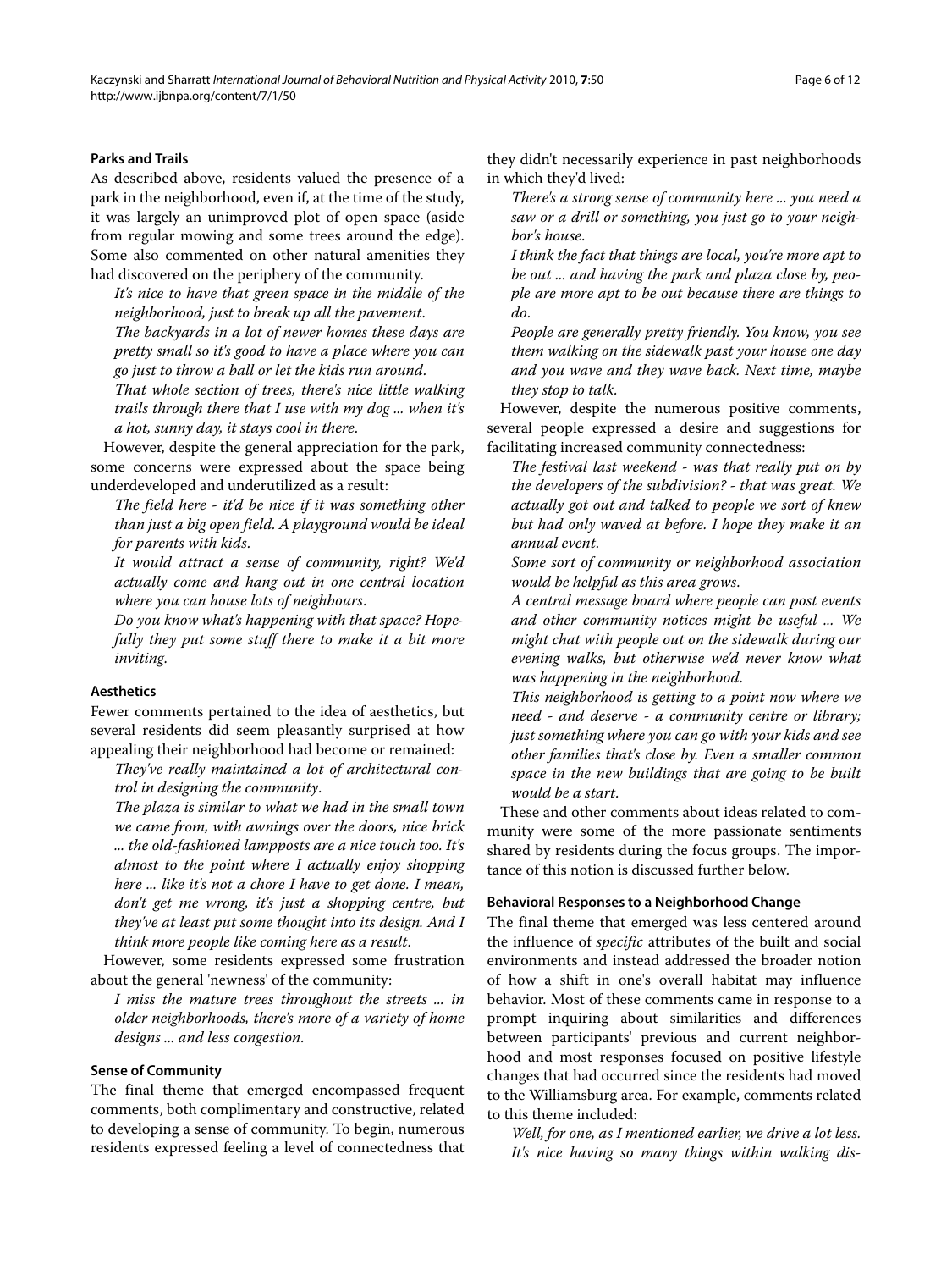## **Parks and Trails**

As described above, residents valued the presence of a park in the neighborhood, even if, at the time of the study, it was largely an unimproved plot of open space (aside from regular mowing and some trees around the edge). Some also commented on other natural amenities they had discovered on the periphery of the community.

*It's nice to have that green space in the middle of the neighborhood, just to break up all the pavement*.

*The backyards in a lot of newer homes these days are pretty small so it's good to have a place where you can go just to throw a ball or let the kids run around*.

*That whole section of trees, there's nice little walking trails through there that I use with my dog ... when it's a hot, sunny day, it stays cool in there*.

However, despite the general appreciation for the park, some concerns were expressed about the space being underdeveloped and underutilized as a result:

*The field here - it'd be nice if it was something other than just a big open field. A playground would be ideal for parents with kids*.

*It would attract a sense of community, right? We'd actually come and hang out in one central location where you can house lots of neighbours*.

*Do you know what's happening with that space? Hopefully they put some stuff there to make it a bit more inviting*.

#### **Aesthetics**

Fewer comments pertained to the idea of aesthetics, but several residents did seem pleasantly surprised at how appealing their neighborhood had become or remained:

*They've really maintained a lot of architectural control in designing the community*.

*The plaza is similar to what we had in the small town we came from, with awnings over the doors, nice brick ... the old-fashioned lampposts are a nice touch too. It's almost to the point where I actually enjoy shopping here ... like it's not a chore I have to get done. I mean, don't get me wrong, it's just a shopping centre, but they've at least put some thought into its design. And I think more people like coming here as a result*.

However, some residents expressed some frustration about the general 'newness' of the community:

*I miss the mature trees throughout the streets ... in older neighborhoods, there's more of a variety of home designs ... and less congestion*.

#### **Sense of Community**

The final theme that emerged encompassed frequent comments, both complimentary and constructive, related to developing a sense of community. To begin, numerous residents expressed feeling a level of connectedness that they didn't necessarily experience in past neighborhoods in which they'd lived:

*There's a strong sense of community here ... you need a saw or a drill or something, you just go to your neighbor's house*.

*I think the fact that things are local, you're more apt to be out ... and having the park and plaza close by, people are more apt to be out because there are things to do*.

*People are generally pretty friendly. You know, you see them walking on the sidewalk past your house one day and you wave and they wave back. Next time, maybe they stop to talk*.

However, despite the numerous positive comments, several people expressed a desire and suggestions for facilitating increased community connectedness:

*The festival last weekend - was that really put on by the developers of the subdivision? - that was great. We actually got out and talked to people we sort of knew but had only waved at before. I hope they make it an annual event*.

*Some sort of community or neighborhood association would be helpful as this area grows*.

*A central message board where people can post events and other community notices might be useful ... We might chat with people out on the sidewalk during our evening walks, but otherwise we'd never know what was happening in the neighborhood*.

*This neighborhood is getting to a point now where we need - and deserve - a community centre or library; just something where you can go with your kids and see other families that's close by. Even a smaller common space in the new buildings that are going to be built would be a start*.

These and other comments about ideas related to community were some of the more passionate sentiments shared by residents during the focus groups. The importance of this notion is discussed further below.

#### **Behavioral Responses to a Neighborhood Change**

The final theme that emerged was less centered around the influence of *specific* attributes of the built and social environments and instead addressed the broader notion of how a shift in one's overall habitat may influence behavior. Most of these comments came in response to a prompt inquiring about similarities and differences between participants' previous and current neighborhood and most responses focused on positive lifestyle changes that had occurred since the residents had moved to the Williamsburg area. For example, comments related to this theme included:

*Well, for one, as I mentioned earlier, we drive a lot less. It's nice having so many things within walking dis-*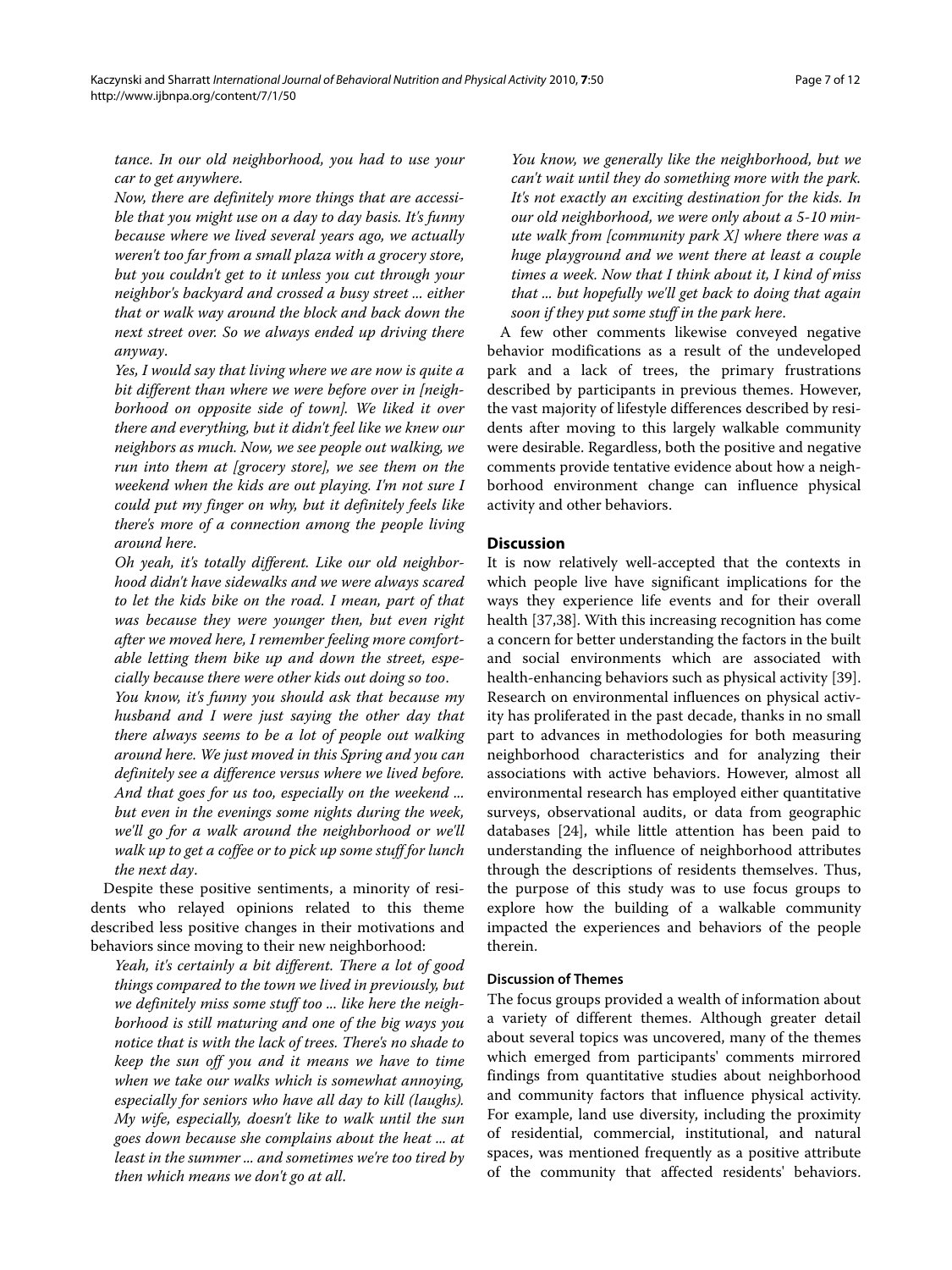*tance. In our old neighborhood, you had to use your car to get anywhere*.

*Now, there are definitely more things that are accessible that you might use on a day to day basis. It's funny because where we lived several years ago, we actually weren't too far from a small plaza with a grocery store, but you couldn't get to it unless you cut through your neighbor's backyard and crossed a busy street ... either that or walk way around the block and back down the next street over. So we always ended up driving there anyway*.

*Yes, I would say that living where we are now is quite a bit different than where we were before over in [neighborhood on opposite side of town]. We liked it over there and everything, but it didn't feel like we knew our neighbors as much. Now, we see people out walking, we run into them at [grocery store], we see them on the weekend when the kids are out playing. I'm not sure I could put my finger on why, but it definitely feels like there's more of a connection among the people living around here*.

*Oh yeah, it's totally different. Like our old neighborhood didn't have sidewalks and we were always scared to let the kids bike on the road. I mean, part of that was because they were younger then, but even right after we moved here, I remember feeling more comfortable letting them bike up and down the street, especially because there were other kids out doing so too*.

*You know, it's funny you should ask that because my husband and I were just saying the other day that there always seems to be a lot of people out walking around here. We just moved in this Spring and you can definitely see a difference versus where we lived before. And that goes for us too, especially on the weekend ... but even in the evenings some nights during the week, we'll go for a walk around the neighborhood or we'll walk up to get a coffee or to pick up some stuff for lunch the next day*.

Despite these positive sentiments, a minority of residents who relayed opinions related to this theme described less positive changes in their motivations and behaviors since moving to their new neighborhood:

*Yeah, it's certainly a bit different. There a lot of good things compared to the town we lived in previously, but we definitely miss some stuff too ... like here the neighborhood is still maturing and one of the big ways you notice that is with the lack of trees. There's no shade to keep the sun off you and it means we have to time when we take our walks which is somewhat annoying, especially for seniors who have all day to kill (laughs). My wife, especially, doesn't like to walk until the sun goes down because she complains about the heat ... at least in the summer ... and sometimes we're too tired by then which means we don't go at all*.

*You know, we generally like the neighborhood, but we can't wait until they do something more with the park. It's not exactly an exciting destination for the kids. In our old neighborhood, we were only about a 5-10 minute walk from [community park X] where there was a huge playground and we went there at least a couple times a week. Now that I think about it, I kind of miss that ... but hopefully we'll get back to doing that again soon if they put some stuff in the park here*.

A few other comments likewise conveyed negative behavior modifications as a result of the undeveloped park and a lack of trees, the primary frustrations described by participants in previous themes. However, the vast majority of lifestyle differences described by residents after moving to this largely walkable community were desirable. Regardless, both the positive and negative comments provide tentative evidence about how a neighborhood environment change can influence physical activity and other behaviors.

# **Discussion**

It is now relatively well-accepted that the contexts in which people live have significant implications for the ways they experience life events and for their overall health [[37,](#page-10-20)[38\]](#page-10-21). With this increasing recognition has come a concern for better understanding the factors in the built and social environments which are associated with health-enhancing behaviors such as physical activity [\[39](#page-10-22)]. Research on environmental influences on physical activity has proliferated in the past decade, thanks in no small part to advances in methodologies for both measuring neighborhood characteristics and for analyzing their associations with active behaviors. However, almost all environmental research has employed either quantitative surveys, observational audits, or data from geographic databases [\[24\]](#page-10-9), while little attention has been paid to understanding the influence of neighborhood attributes through the descriptions of residents themselves. Thus, the purpose of this study was to use focus groups to explore how the building of a walkable community impacted the experiences and behaviors of the people therein.

## **Discussion of Themes**

The focus groups provided a wealth of information about a variety of different themes. Although greater detail about several topics was uncovered, many of the themes which emerged from participants' comments mirrored findings from quantitative studies about neighborhood and community factors that influence physical activity. For example, land use diversity, including the proximity of residential, commercial, institutional, and natural spaces, was mentioned frequently as a positive attribute of the community that affected residents' behaviors.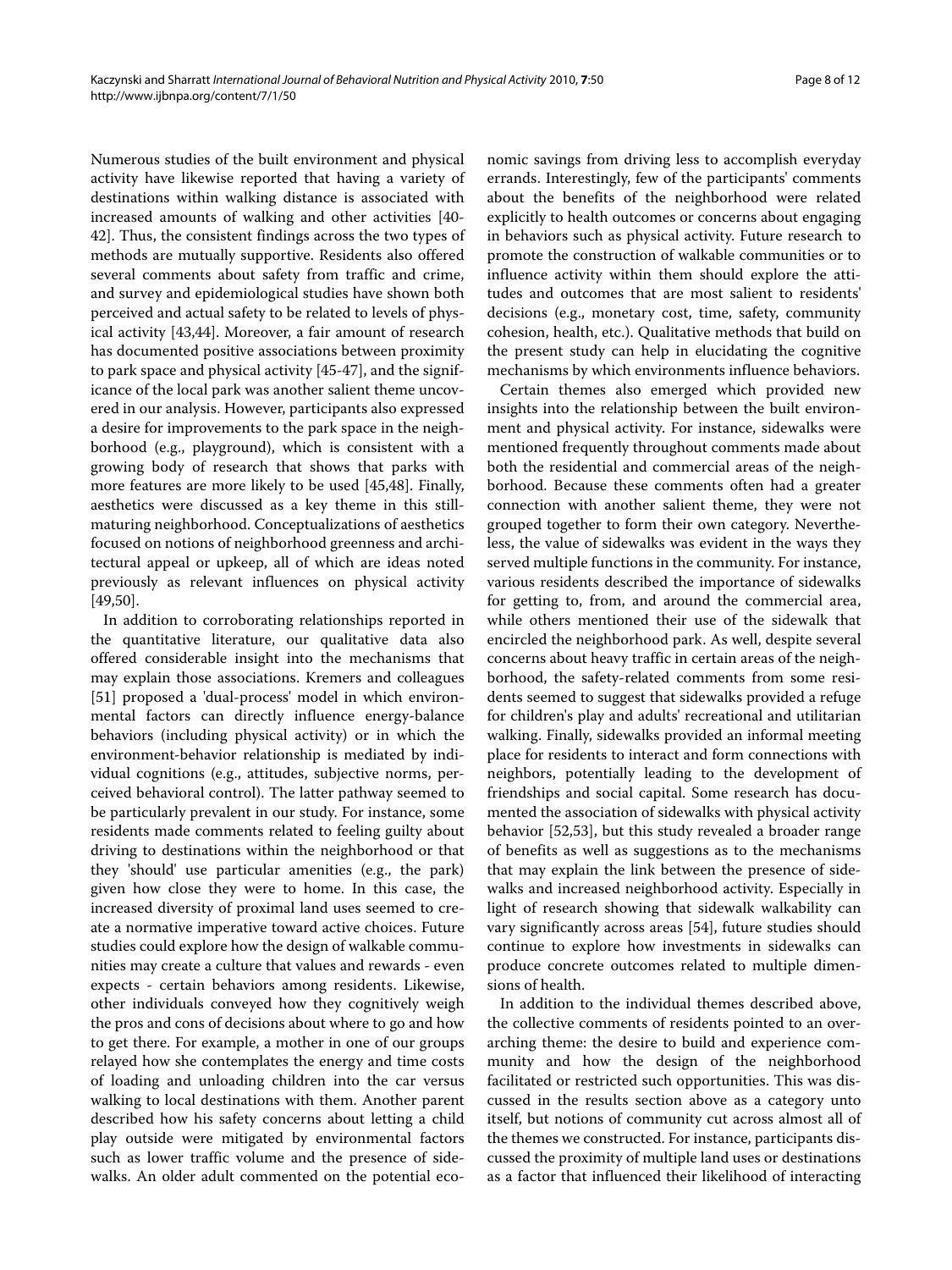Numerous studies of the built environment and physical activity have likewise reported that having a variety of destinations within walking distance is associated with increased amounts of walking and other activities [\[40-](#page-10-23) [42](#page-10-24)]. Thus, the consistent findings across the two types of methods are mutually supportive. Residents also offered several comments about safety from traffic and crime, and survey and epidemiological studies have shown both perceived and actual safety to be related to levels of physical activity [[43,](#page-10-25)[44\]](#page-10-26). Moreover, a fair amount of research has documented positive associations between proximity to park space and physical activity [[45-](#page-10-27)[47](#page-10-28)], and the significance of the local park was another salient theme uncovered in our analysis. However, participants also expressed a desire for improvements to the park space in the neighborhood (e.g., playground), which is consistent with a growing body of research that shows that parks with more features are more likely to be used [\[45](#page-10-27)[,48](#page-10-29)]. Finally, aesthetics were discussed as a key theme in this stillmaturing neighborhood. Conceptualizations of aesthetics focused on notions of neighborhood greenness and architectural appeal or upkeep, all of which are ideas noted previously as relevant influences on physical activity [[49,](#page-10-30)[50\]](#page-10-31).

In addition to corroborating relationships reported in the quantitative literature, our qualitative data also offered considerable insight into the mechanisms that may explain those associations. Kremers and colleagues [[51\]](#page-10-32) proposed a 'dual-process' model in which environmental factors can directly influence energy-balance behaviors (including physical activity) or in which the environment-behavior relationship is mediated by individual cognitions (e.g., attitudes, subjective norms, perceived behavioral control). The latter pathway seemed to be particularly prevalent in our study. For instance, some residents made comments related to feeling guilty about driving to destinations within the neighborhood or that they 'should' use particular amenities (e.g., the park) given how close they were to home. In this case, the increased diversity of proximal land uses seemed to create a normative imperative toward active choices. Future studies could explore how the design of walkable communities may create a culture that values and rewards - even expects - certain behaviors among residents. Likewise, other individuals conveyed how they cognitively weigh the pros and cons of decisions about where to go and how to get there. For example, a mother in one of our groups relayed how she contemplates the energy and time costs of loading and unloading children into the car versus walking to local destinations with them. Another parent described how his safety concerns about letting a child play outside were mitigated by environmental factors such as lower traffic volume and the presence of sidewalks. An older adult commented on the potential eco-

nomic savings from driving less to accomplish everyday errands. Interestingly, few of the participants' comments about the benefits of the neighborhood were related explicitly to health outcomes or concerns about engaging in behaviors such as physical activity. Future research to promote the construction of walkable communities or to influence activity within them should explore the attitudes and outcomes that are most salient to residents' decisions (e.g., monetary cost, time, safety, community cohesion, health, etc.). Qualitative methods that build on the present study can help in elucidating the cognitive mechanisms by which environments influence behaviors.

Certain themes also emerged which provided new insights into the relationship between the built environment and physical activity. For instance, sidewalks were mentioned frequently throughout comments made about both the residential and commercial areas of the neighborhood. Because these comments often had a greater connection with another salient theme, they were not grouped together to form their own category. Nevertheless, the value of sidewalks was evident in the ways they served multiple functions in the community. For instance, various residents described the importance of sidewalks for getting to, from, and around the commercial area, while others mentioned their use of the sidewalk that encircled the neighborhood park. As well, despite several concerns about heavy traffic in certain areas of the neighborhood, the safety-related comments from some residents seemed to suggest that sidewalks provided a refuge for children's play and adults' recreational and utilitarian walking. Finally, sidewalks provided an informal meeting place for residents to interact and form connections with neighbors, potentially leading to the development of friendships and social capital. Some research has documented the association of sidewalks with physical activity behavior [\[52](#page-10-33)[,53](#page-10-34)], but this study revealed a broader range of benefits as well as suggestions as to the mechanisms that may explain the link between the presence of sidewalks and increased neighborhood activity. Especially in light of research showing that sidewalk walkability can vary significantly across areas [\[54](#page-10-35)], future studies should continue to explore how investments in sidewalks can produce concrete outcomes related to multiple dimensions of health.

In addition to the individual themes described above, the collective comments of residents pointed to an overarching theme: the desire to build and experience community and how the design of the neighborhood facilitated or restricted such opportunities. This was discussed in the results section above as a category unto itself, but notions of community cut across almost all of the themes we constructed. For instance, participants discussed the proximity of multiple land uses or destinations as a factor that influenced their likelihood of interacting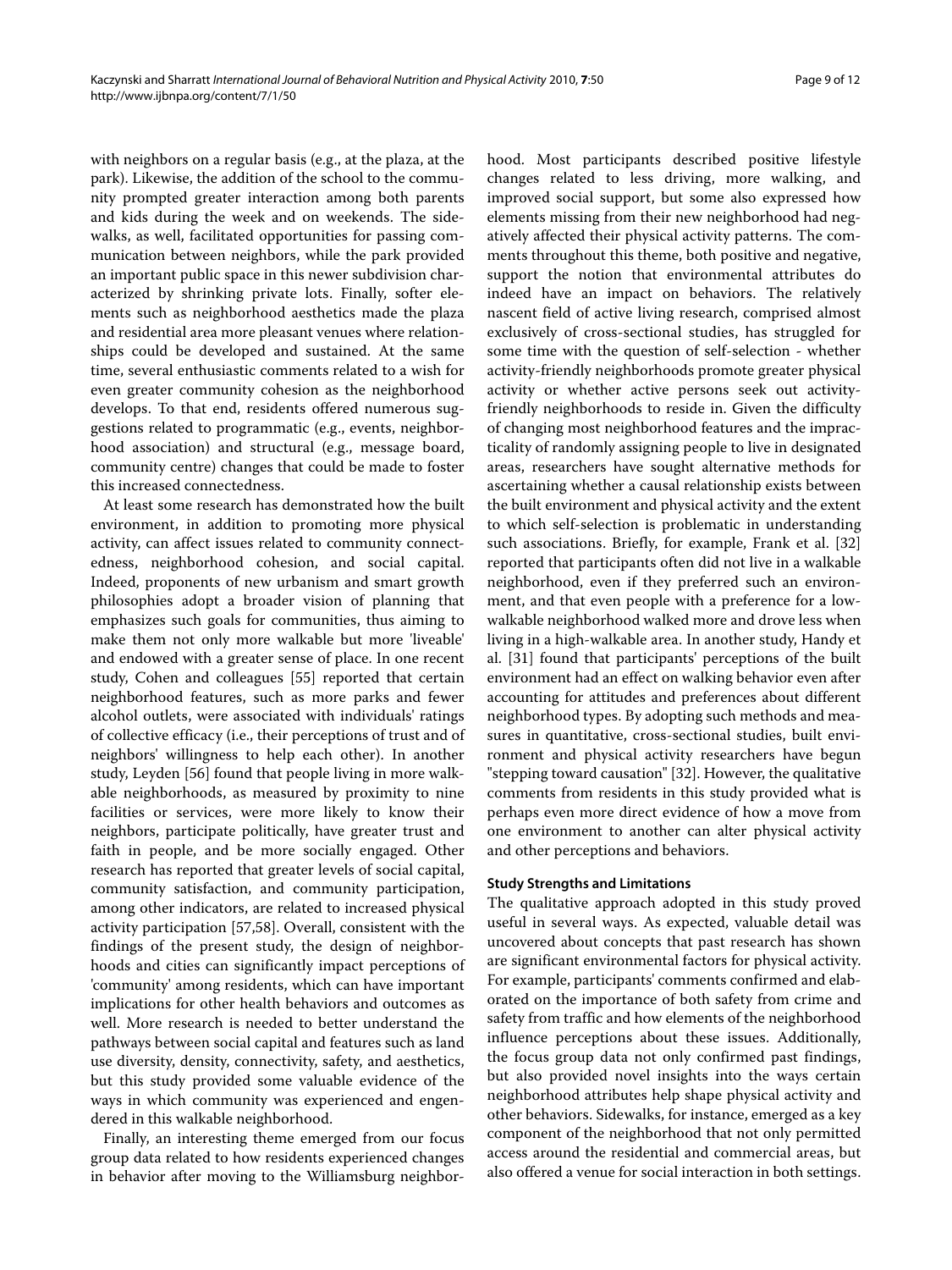with neighbors on a regular basis (e.g., at the plaza, at the park). Likewise, the addition of the school to the community prompted greater interaction among both parents and kids during the week and on weekends. The sidewalks, as well, facilitated opportunities for passing communication between neighbors, while the park provided an important public space in this newer subdivision characterized by shrinking private lots. Finally, softer elements such as neighborhood aesthetics made the plaza and residential area more pleasant venues where relationships could be developed and sustained. At the same time, several enthusiastic comments related to a wish for even greater community cohesion as the neighborhood develops. To that end, residents offered numerous suggestions related to programmatic (e.g., events, neighborhood association) and structural (e.g., message board, community centre) changes that could be made to foster this increased connectedness.

At least some research has demonstrated how the built environment, in addition to promoting more physical activity, can affect issues related to community connectedness, neighborhood cohesion, and social capital. Indeed, proponents of new urbanism and smart growth philosophies adopt a broader vision of planning that emphasizes such goals for communities, thus aiming to make them not only more walkable but more 'liveable' and endowed with a greater sense of place. In one recent study, Cohen and colleagues [[55\]](#page-10-36) reported that certain neighborhood features, such as more parks and fewer alcohol outlets, were associated with individuals' ratings of collective efficacy (i.e., their perceptions of trust and of neighbors' willingness to help each other). In another study, Leyden [\[56](#page-10-37)] found that people living in more walkable neighborhoods, as measured by proximity to nine facilities or services, were more likely to know their neighbors, participate politically, have greater trust and faith in people, and be more socially engaged. Other research has reported that greater levels of social capital, community satisfaction, and community participation, among other indicators, are related to increased physical activity participation [[57,](#page-10-38)[58\]](#page-11-0). Overall, consistent with the findings of the present study, the design of neighborhoods and cities can significantly impact perceptions of 'community' among residents, which can have important implications for other health behaviors and outcomes as well. More research is needed to better understand the pathways between social capital and features such as land use diversity, density, connectivity, safety, and aesthetics, but this study provided some valuable evidence of the ways in which community was experienced and engendered in this walkable neighborhood.

Finally, an interesting theme emerged from our focus group data related to how residents experienced changes in behavior after moving to the Williamsburg neighborhood. Most participants described positive lifestyle changes related to less driving, more walking, and improved social support, but some also expressed how elements missing from their new neighborhood had negatively affected their physical activity patterns. The comments throughout this theme, both positive and negative, support the notion that environmental attributes do indeed have an impact on behaviors. The relatively nascent field of active living research, comprised almost exclusively of cross-sectional studies, has struggled for some time with the question of self-selection - whether activity-friendly neighborhoods promote greater physical activity or whether active persons seek out activityfriendly neighborhoods to reside in. Given the difficulty of changing most neighborhood features and the impracticality of randomly assigning people to live in designated areas, researchers have sought alternative methods for ascertaining whether a causal relationship exists between the built environment and physical activity and the extent to which self-selection is problematic in understanding such associations. Briefly, for example, Frank et al. [[32](#page-10-15)] reported that participants often did not live in a walkable neighborhood, even if they preferred such an environment, and that even people with a preference for a lowwalkable neighborhood walked more and drove less when living in a high-walkable area. In another study, Handy et al. [[31\]](#page-10-14) found that participants' perceptions of the built environment had an effect on walking behavior even after accounting for attitudes and preferences about different neighborhood types. By adopting such methods and measures in quantitative, cross-sectional studies, built environment and physical activity researchers have begun "stepping toward causation" [[32\]](#page-10-15). However, the qualitative comments from residents in this study provided what is perhaps even more direct evidence of how a move from one environment to another can alter physical activity and other perceptions and behaviors.

#### **Study Strengths and Limitations**

The qualitative approach adopted in this study proved useful in several ways. As expected, valuable detail was uncovered about concepts that past research has shown are significant environmental factors for physical activity. For example, participants' comments confirmed and elaborated on the importance of both safety from crime and safety from traffic and how elements of the neighborhood influence perceptions about these issues. Additionally, the focus group data not only confirmed past findings, but also provided novel insights into the ways certain neighborhood attributes help shape physical activity and other behaviors. Sidewalks, for instance, emerged as a key component of the neighborhood that not only permitted access around the residential and commercial areas, but also offered a venue for social interaction in both settings.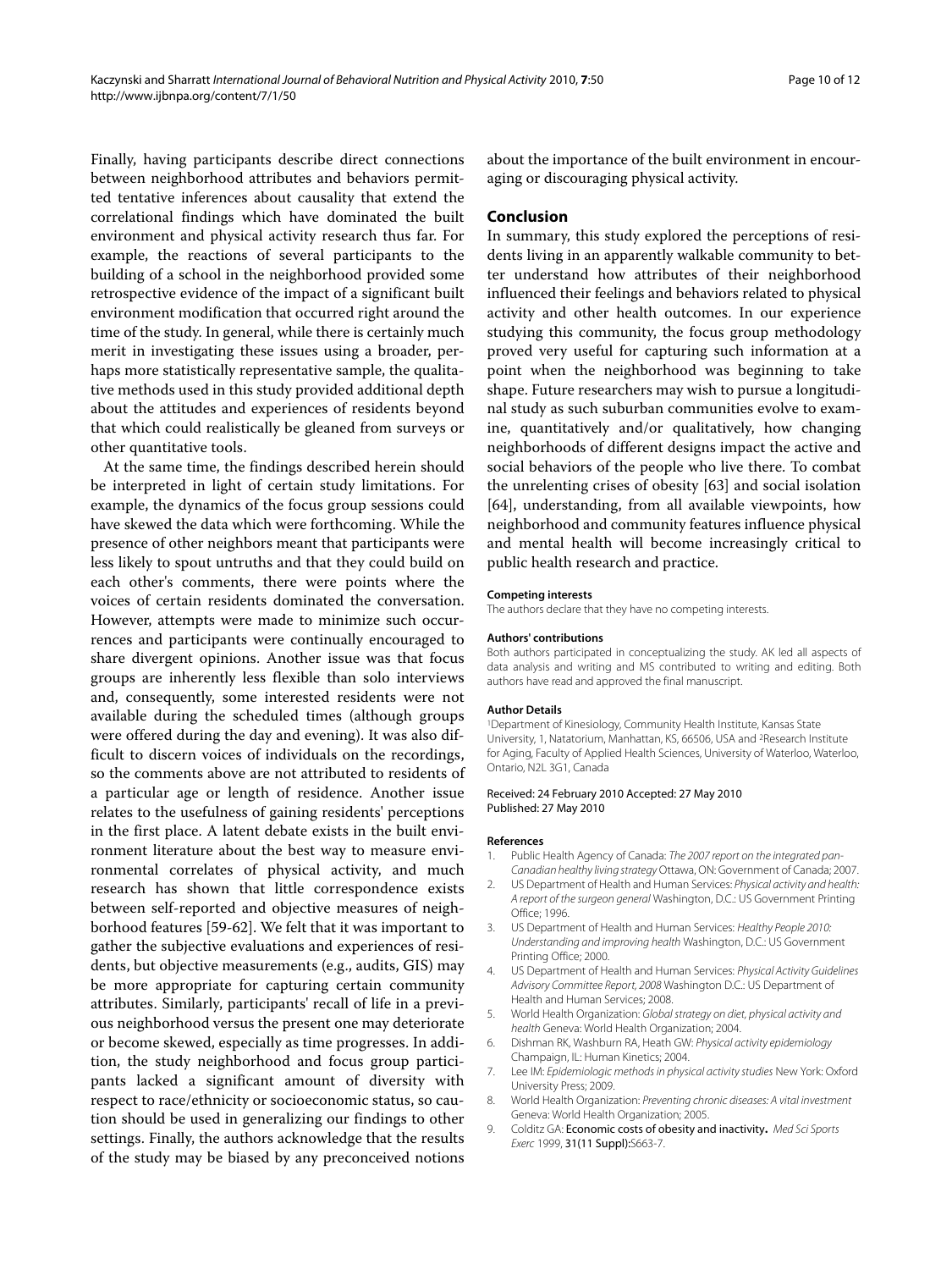Finally, having participants describe direct connections between neighborhood attributes and behaviors permitted tentative inferences about causality that extend the correlational findings which have dominated the built environment and physical activity research thus far. For example, the reactions of several participants to the building of a school in the neighborhood provided some retrospective evidence of the impact of a significant built environment modification that occurred right around the time of the study. In general, while there is certainly much merit in investigating these issues using a broader, perhaps more statistically representative sample, the qualitative methods used in this study provided additional depth about the attitudes and experiences of residents beyond that which could realistically be gleaned from surveys or other quantitative tools.

At the same time, the findings described herein should be interpreted in light of certain study limitations. For example, the dynamics of the focus group sessions could have skewed the data which were forthcoming. While the presence of other neighbors meant that participants were less likely to spout untruths and that they could build on each other's comments, there were points where the voices of certain residents dominated the conversation. However, attempts were made to minimize such occurrences and participants were continually encouraged to share divergent opinions. Another issue was that focus groups are inherently less flexible than solo interviews and, consequently, some interested residents were not available during the scheduled times (although groups were offered during the day and evening). It was also difficult to discern voices of individuals on the recordings, so the comments above are not attributed to residents of a particular age or length of residence. Another issue relates to the usefulness of gaining residents' perceptions in the first place. A latent debate exists in the built environment literature about the best way to measure environmental correlates of physical activity, and much research has shown that little correspondence exists between self-reported and objective measures of neighborhood features [[59](#page-11-1)[-62](#page-11-2)]. We felt that it was important to gather the subjective evaluations and experiences of residents, but objective measurements (e.g., audits, GIS) may be more appropriate for capturing certain community attributes. Similarly, participants' recall of life in a previous neighborhood versus the present one may deteriorate or become skewed, especially as time progresses. In addition, the study neighborhood and focus group participants lacked a significant amount of diversity with respect to race/ethnicity or socioeconomic status, so caution should be used in generalizing our findings to other settings. Finally, the authors acknowledge that the results of the study may be biased by any preconceived notions

about the importance of the built environment in encouraging or discouraging physical activity.

## **Conclusion**

In summary, this study explored the perceptions of residents living in an apparently walkable community to better understand how attributes of their neighborhood influenced their feelings and behaviors related to physical activity and other health outcomes. In our experience studying this community, the focus group methodology proved very useful for capturing such information at a point when the neighborhood was beginning to take shape. Future researchers may wish to pursue a longitudinal study as such suburban communities evolve to examine, quantitatively and/or qualitatively, how changing neighborhoods of different designs impact the active and social behaviors of the people who live there. To combat the unrelenting crises of obesity [\[63](#page-11-3)] and social isolation [[64\]](#page-11-4), understanding, from all available viewpoints, how neighborhood and community features influence physical and mental health will become increasingly critical to public health research and practice.

#### **Competing interests**

The authors declare that they have no competing interests.

#### **Authors' contributions**

Both authors participated in conceptualizing the study. AK led all aspects of data analysis and writing and MS contributed to writing and editing. Both authors have read and approved the final manuscript.

#### **Author Details**

1Department of Kinesiology, Community Health Institute, Kansas State University, 1, Natatorium, Manhattan, KS, 66506, USA and 2Research Institute for Aging, Faculty of Applied Health Sciences, University of Waterloo, Waterloo, Ontario, N2L 3G1, Canada

#### Received: 24 February 2010 Accepted: 27 May 2010 Published: 27 May 2010

#### **References**

- <span id="page-9-0"></span>1. Public Health Agency of Canada: The 2007 report on the integrated pan-Canadian healthy living strategy Ottawa, ON: Government of Canada; 2007.
- US Department of Health and Human Services: Physical activity and health: A report of the surgeon general Washington, D.C.: US Government Printing Office; 1996.
- 3. US Department of Health and Human Services: Healthy People 2010: Understanding and improving health Washington, D.C.: US Government Printing Office; 2000.
- 4. US Department of Health and Human Services: Physical Activity Guidelines Advisory Committee Report, 2008 Washington D.C.: US Department of Health and Human Services; 2008.
- <span id="page-9-1"></span>5. World Health Organization: Global strategy on diet, physical activity and health Geneva: World Health Organization; 2004.
- <span id="page-9-2"></span>6. Dishman RK, Washburn RA, Heath GW: Physical activity epidemiology Champaign, IL: Human Kinetics; 2004.
- <span id="page-9-3"></span>7. Lee IM: Epidemiologic methods in physical activity studies New York: Oxford University Press; 2009.
- <span id="page-9-4"></span>8. World Health Organization: Preventing chronic diseases: A vital investment Geneva: World Health Organization; 2005.
- <span id="page-9-5"></span>9. Colditz GA: Economic costs of obesity and inactivity**[.](http://www.ncbi.nlm.nih.gov/entrez/query.fcgi?cmd=Retrieve&db=PubMed&dopt=Abstract&list_uids=10593542)** Med Sci Sports Exerc 1999, 31(11 Suppl):S663-7.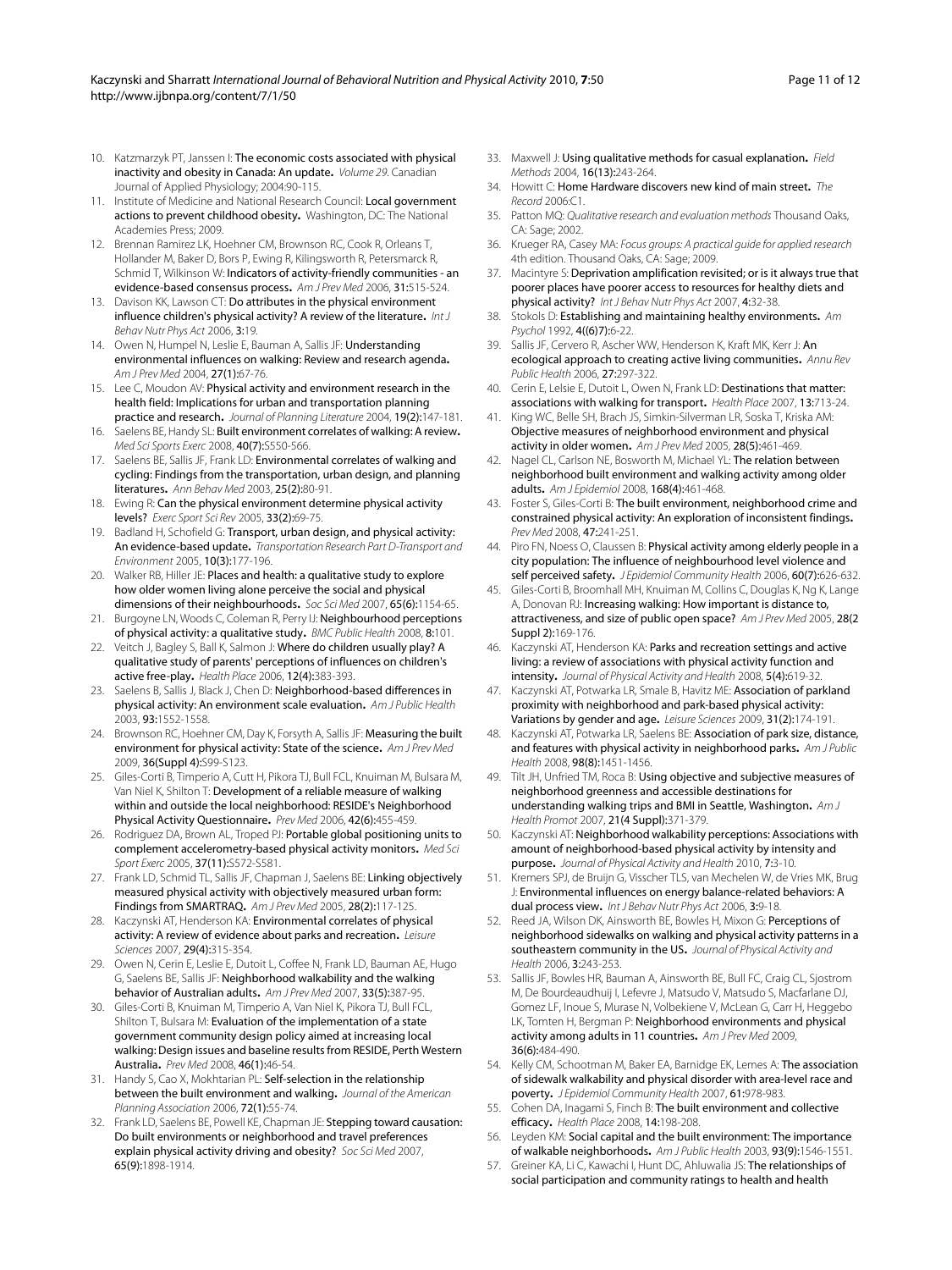- <span id="page-10-0"></span>10. Katzmarzyk PT, Janssen I: The economic costs associated with physical inactivity and obesity in Canada: An update**.** Volume 29. Canadian Journal of Applied Physiology; 2004:90-115.
- <span id="page-10-1"></span>11. Institute of Medicine and National Research Council: Local government actions to prevent childhood obesity**.** Washington, DC: The National Academies Press; 2009.
- <span id="page-10-2"></span>12. Brennan Ramirez LK, Hoehner CM, Brownson RC, Cook R, Orleans T, Hollander M, Baker D, Bors P, Ewing R, Kilingsworth R, Petersmarck R, Schmid T, Wilkinson W: Indicators of activity-friendly communities - an evidence-based consensus process**.** Am J Prev Med 2006, 31:515-524.
- 13. Davison KK, Lawson CT: Do attributes in the physical environment influence children's physical activity? A review of the literature**.** Int J Behav Nutr Phys Act 2006, 3:19.
- 14. Owen N, Humpel N, Leslie E, Bauman A, Sallis JF: Understanding environmental influences on walking: Review and research agenda**.** Am J Prev Med 2004, 27(1):67-76.
- 15. Lee C, Moudon AV: Physical activity and environment research in the health field: Implications for urban and transportation planning practice and research**.** Journal of Planning Literature 2004, 19(2):147-181.
- <span id="page-10-3"></span>16. Saelens BE, Handy SL: Built environment correlates of walking: A review**.** Med Sci Sports Exerc 2008, 40(7):S550-566.
- <span id="page-10-4"></span>17. Saelens BE, Sallis JF, Frank LD: Environmental correlates of walking and cycling: Findings from the transportation, urban design, and planning literatures**.** Ann Behav Med 2003, 25(2):80-91.
- 18. Ewing R: Can the physical environment determine physical activity levels? Exerc Sport Sci Rev 2005, 33(2):69-75.
- <span id="page-10-5"></span>19. Badland H, Schofield G: Transport, urban design, and physical activity: An evidence-based update**.** Transportation Research Part D-Transport and Environment 2005, 10(3):177-196.
- <span id="page-10-6"></span>20. Walker RB, Hiller JE: Places and health: a qualitative study to explore how older women living alone perceive the social and physical dimensions of their neighbourhoods**.** Soc Sci Med 2007, 65(6):1154-65.
- 21. Burgoyne LN, Woods C, Coleman R, Perry IJ: Neighbourhood perceptions of physical activity: a qualitative study**.** BMC Public Health 2008, 8:101.
- <span id="page-10-7"></span>22. Veitch J, Bagley S, Ball K, Salmon J: Where do children usually play? A qualitative study of parents' perceptions of influences on children's active free-play**.** Health Place 2006, 12(4):383-393.
- <span id="page-10-8"></span>23. Saelens B, Sallis J, Black J, Chen D: Neighborhood-based differences in physical activity: An environment scale evaluation**.** Am J Public Health 2003, 93:1552-1558.
- <span id="page-10-9"></span>24. Brownson RC, Hoehner CM, Day K, Forsyth A, Sallis JF: Measuring the built environment for physical activity: State of the science**.** Am J Prev Med 2009, 36(Suppl 4):S99-S123.
- 25. Giles-Corti B, Timperio A, Cutt H, Pikora TJ, Bull FCL, Knuiman M, Bulsara M, Van Niel K, Shilton T: Development of a reliable measure of walking within and outside the local neighborhood: RESIDE's Neighborhood Physical Activity Questionnaire**.** Prev Med 2006, 42(6):455-459.
- <span id="page-10-10"></span>26. Rodriguez DA, Brown AL, Troped PJ: Portable global positioning units to complement accelerometry-based physical activity monitors**.** Med Sci Sport Exerc 2005, 37(11):S572-S581.
- <span id="page-10-11"></span>27. Frank LD, Schmid TL, Sallis JF, Chapman J, Saelens BE: Linking objectively measured physical activity with objectively measured urban form: Findings from SMARTRAQ**.** Am J Prev Med 2005, 28(2):117-125.
- 28. Kaczynski AT, Henderson KA: Environmental correlates of physical activity: A review of evidence about parks and recreation**.** Leisure Sciences 2007, 29(4):315-354.
- <span id="page-10-12"></span>29. Owen N, Cerin E, Leslie E, Dutoit L, Coffee N, Frank LD, Bauman AE, Hugo G, Saelens BE, Sallis JF: Neighborhood walkability and the walking behavior of Australian adults**.** Am J Prev Med 2007, 33(5):387-95.
- <span id="page-10-13"></span>30. Giles-Corti B, Knuiman M, Timperio A, Van Niel K, Pikora TJ, Bull FCL, Shilton T, Bulsara M: Evaluation of the implementation of a state government community design policy aimed at increasing local walking: Design issues and baseline results from RESIDE, Perth Western Australia**.** Prev Med 2008, 46(1):46-54.
- <span id="page-10-14"></span>31. Handy S, Cao X, Mokhtarian PL: Self-selection in the relationship between the built environment and walking**.** Journal of the American Planning Association 2006, 72(1):55-74.
- <span id="page-10-15"></span>32. Frank LD, Saelens BE, Powell KE, Chapman JE: Stepping toward causation: Do built environments or neighborhood and travel preferences explainphysical activity driving and obesity? Soc Sci Med 2007, 65(9):1898-1914.
- <span id="page-10-16"></span>33. Maxwell J: Using qualitative methods for casual explanation**.** Field Methods 2004, 16(13):243-264.
- <span id="page-10-17"></span>34. Howitt C: Home Hardware discovers new kind of main street**.** The Record 2006:C1.
- <span id="page-10-18"></span>35. Patton MQ: Qualitative research and evaluation methods Thousand Oaks, CA: Sage; 2002.
- <span id="page-10-19"></span>36. Krueger RA, Casey MA: Focus groups: A practical guide for applied research 4th edition. Thousand Oaks, CA: Sage; 2009.
- <span id="page-10-20"></span>37. Macintyre S: Deprivation amplification revisited; or is it always true that poorer places have poorer access to resources for healthy diets and physicalactivity? Int J Behav Nutr Phys Act 2007, 4:32-38.
- <span id="page-10-21"></span>38. Stokols D: Establishing and maintaining healthy environments**.** Am Psychol 1992, 4((6)7):6-22.
- <span id="page-10-22"></span>39. Sallis JF, Cervero R, Ascher WW, Henderson K, Kraft MK, Kerr J: An ecological approach to creating active living communities**.** Annu Rev Public Health 2006, 27:297-322.
- <span id="page-10-23"></span>40. Cerin E, Lelsie E, Dutoit L, Owen N, Frank LD: Destinations that matter: associations with walking for transport**.** Health Place 2007, 13:713-24.
- 41. King WC, Belle SH, Brach JS, Simkin-Silverman LR, Soska T, Kriska AM: Objective measures of neighborhood environment and physical activity in older women**.** Am J Prev Med 2005, 28(5):461-469.
- <span id="page-10-24"></span>42. Nagel CL, Carlson NE, Bosworth M, Michael YL: The relation between neighborhood built environment and walking activity among older adults**.** Am J Epidemiol 2008, 168(4):461-468.
- <span id="page-10-25"></span>43. Foster S, Giles-Corti B: The built environment, neighborhood crime and constrained physical activity: An exploration of inconsistent findings**.** Prev Med 2008, 47:241-251.
- <span id="page-10-26"></span>44. Piro FN, Noess O, Claussen B: Physical activity among elderly people in a city population: The influence of neighbourhood level violence and self perceived safety. J Epidemiol Community Health 2006, 60(7):626-632.
- <span id="page-10-27"></span>45. Giles-Corti B, Broomhall MH, Knuiman M, Collins C, Douglas K, Ng K, Lange A, Donovan RJ: Increasing walking: How important is distance to, attractiveness, and size of public open space? Am J Prev Med 2005, 28(2 Suppl 2):169-176.
- 46. Kaczynski AT, Henderson KA: Parks and recreation settings and active living: a review of associations with physical activity function and intensity**.** Journal of Physical Activity and Health 2008, 5(4):619-32.
- <span id="page-10-28"></span>47. Kaczynski AT, Potwarka LR, Smale B, Havitz ME: Association of parkland proximity with neighborhood and park-based physical activity: Variations by gender and age**.** Leisure Sciences 2009, 31(2):174-191.
- <span id="page-10-29"></span>48. Kaczynski AT, Potwarka LR, Saelens BE: Association of park size, distance, and features with physical activity in neighborhood parks**.** Am J Public Health 2008, 98(8):1451-1456.
- <span id="page-10-30"></span>49. Tilt JH, Unfried TM, Roca B: Using objective and subjective measures of neighborhood greenness and accessible destinations for understanding walking trips and BMI in Seattle, Washington**.** Am J Health Promot 2007, 21(4 Suppl):371-379.
- <span id="page-10-31"></span>50. Kaczynski AT: Neighborhood walkability perceptions: Associations with amount of neighborhood-based physical activity by intensity and purpose**.** Journal of Physical Activity and Health 2010, 7:3-10.
- <span id="page-10-32"></span>51. Kremers SPJ, de Bruijn G, Visscher TLS, van Mechelen W, de Vries MK, Brug J: Environmental influences on energy balance-related behaviors: A dual process view**.** Int J Behav Nutr Phys Act 2006, 3:9-18.
- <span id="page-10-33"></span>52. Reed JA, Wilson DK, Ainsworth BE, Bowles H, Mixon G: Perceptions of neighborhood sidewalks on walking and physical activity patterns in a southeastern community in the US**.** Journal of Physical Activity and Health 2006, 3:243-253.
- <span id="page-10-34"></span>53. Sallis JF, Bowles HR, Bauman A, Ainsworth BE, Bull FC, Craig CL, Sjostrom M, De Bourdeaudhuij I, Lefevre J, Matsudo V, Matsudo S, Macfarlane DJ, Gomez LF, Inoue S, Murase N, Volbekiene V, McLean G, Carr H, Heggebo LK, Tomten H, Bergman P: Neighborhood environments and physical activity among adults in 11 countries**.** Am J Prev Med 2009, 36(6):484-490.
- <span id="page-10-35"></span>54. Kelly CM, Schootman M, Baker EA, Barnidge EK, Lemes A: The association of sidewalk walkability and physical disorder with area-level race and poverty**.** J Epidemiol Community Health 2007, 61:978-983.
- <span id="page-10-36"></span>55. Cohen DA, Inagami S, Finch B: The built environment and collective efficacy**.** Health Place 2008, 14:198-208.
- <span id="page-10-37"></span>56. Leyden KM: Social capital and the built environment: The importance of walkable neighborhoods**.** Am J Public Health 2003, 93(9):1546-1551.
- <span id="page-10-38"></span>57. Greiner KA, Li C, Kawachi I, Hunt DC, Ahluwalia JS: The relationships of social participation and community ratings to health and health